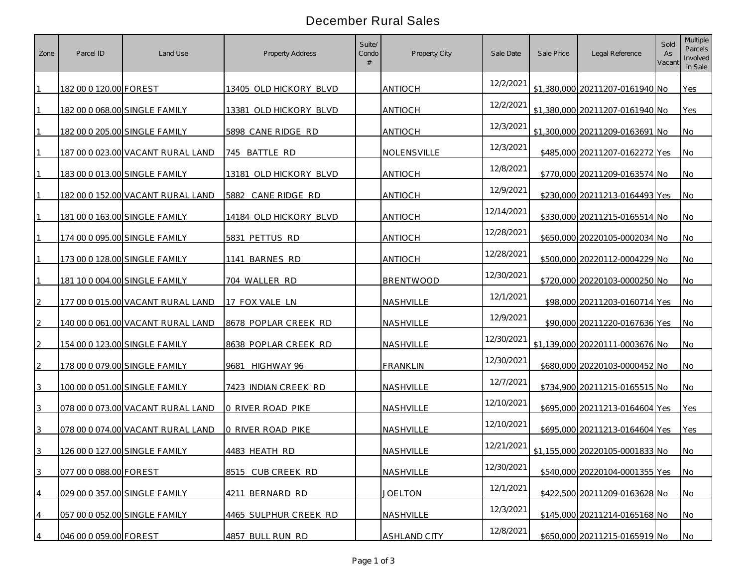## December Rural Sales

| Zone | Parcel ID              | Land Use                                 | Property Address       | Suite/<br>Condo | Property City       | Sale Date  | Sale Price | Legal Reference                 | Sold<br>As<br>Vacan | <b>Multiple</b><br>Parcels<br>Involved<br>in Sale |
|------|------------------------|------------------------------------------|------------------------|-----------------|---------------------|------------|------------|---------------------------------|---------------------|---------------------------------------------------|
|      | 182 00 0 120.00 FOREST |                                          | 13405 OLD HICKORY BLVD |                 | <b>ANTIOCH</b>      | 12/2/2021  |            | \$1,380,000 20211207-0161940 No |                     | Yes                                               |
|      |                        | 182 00 0 068.00 SINGLE FAMILY            | 13381 OLD HICKORY BLVD |                 | <b>ANTIOCH</b>      | 12/2/2021  |            | \$1,380,000 20211207-0161940 No |                     | Yes                                               |
|      |                        | 182 00 0 205.00 SINGLE FAMILY            | 5898 CANE RIDGE RD     |                 | <b>ANTIOCH</b>      | 12/3/2021  |            | \$1,300,000 20211209-0163691 No |                     | <b>No</b>                                         |
|      |                        | 187 00 0 023.00 VACANT RURAL LAND        | 745 BATTLE RD          |                 | NOLENSVILLE         | 12/3/2021  |            | \$485,000 20211207-0162272 Yes  |                     | <b>No</b>                                         |
|      |                        | 183 00 0 013.00 SINGLE FAMILY            | 13181 OLD HICKORY BLVD |                 | <b>ANTIOCH</b>      | 12/8/2021  |            | \$770,000 20211209-0163574 No   |                     | <b>No</b>                                         |
|      |                        | 182 00 0 152.00 VACANT RURAL LAND        | 5882 CANE RIDGE RD     |                 | <b>ANTIOCH</b>      | 12/9/2021  |            | \$230,000 20211213-0164493 Yes  |                     | <b>No</b>                                         |
|      |                        | <u>181 00 0 163.00 SINGLE FAMILY</u>     | 14184 OLD HICKORY BLVD |                 | <b>ANTIOCH</b>      | 12/14/2021 |            | \$330,000 20211215-0165514 No   |                     | <b>No</b>                                         |
|      |                        | 174 00 0 095.00 SINGLE FAMILY            | 5831 PETTUS RD         |                 | <b>ANTIOCH</b>      | 12/28/2021 |            | \$650,000 20220105-0002034 No   |                     | <b>No</b>                                         |
|      |                        | 173 00 0 128.00 SINGLE FAMILY            | 1141 BARNES RD         |                 | <b>ANTIOCH</b>      | 12/28/2021 |            | \$500,000 20220112-0004229 No   |                     | <b>No</b>                                         |
|      |                        | 181 10 0 004.00 SINGLE FAMILY            | 704 WALLER RD          |                 | <b>BRENTWOOD</b>    | 12/30/2021 |            | \$720,000 20220103-0000250 No   |                     | <b>No</b>                                         |
|      |                        | 177 00 0 015.00 VACANT RURAL LAND        | 17 FOX VALE LN         |                 | NASHVILLE           | 12/1/2021  |            | \$98,000 20211203-0160714 Yes   |                     | <b>No</b>                                         |
|      |                        | <u>140 00 0 061.00 VACANT RURAL LAND</u> | 8678 POPLAR CREEK RD   |                 | NASHVILLE           | 12/9/2021  |            | \$90,000 20211220-0167636 Yes   |                     | <b>No</b>                                         |
|      |                        | <u>154 00 0 123.00 SINGLE FAMILY</u>     | 8638 POPLAR CREEK RD   |                 | NASHVILLE           | 12/30/2021 |            | \$1,139,000 20220111-0003676 No |                     | <b>No</b>                                         |
|      |                        | 178 00 0 079.00 SINGLE FAMILY            | 9681 HIGHWAY 96        |                 | <b>FRANKLIN</b>     | 12/30/2021 |            | \$680,000 20220103-0000452 No   |                     | No                                                |
| 3    |                        | 100 00 0 051.00 SINGLE FAMILY            | 7423 INDIAN CREEK RD   |                 | NASHVILLE           | 12/7/2021  |            | \$734,900 20211215-0165515 No   |                     | <b>No</b>                                         |
|      |                        | 078 00 0 073.00 VACANT RURAL LAND        | 0 RIVER ROAD PIKE      |                 | NASHVILLE           | 12/10/2021 |            | \$695,000 20211213-0164604 Yes  |                     | Yes                                               |
|      |                        | 078 00 0 074.00 VACANT RURAL LAND        | 0 RIVER ROAD PIKE      |                 | NASHVILLE           | 12/10/2021 |            | \$695,000 20211213-0164604 Yes  |                     | Yes                                               |
|      |                        | 126 00 0 127.00 SINGLE FAMILY            | 4483 HEATH RD          |                 | NASHVILLE           | 12/21/2021 |            | \$1,155,000 20220105-0001833 No |                     | No                                                |
| 3    | 077 00 0 088.00 FOREST |                                          | 8515 CUB CREEK RD      |                 | NASHVILLE           | 12/30/2021 |            | \$540,000 20220104-0001355 Yes  |                     | <b>No</b>                                         |
| 4    |                        | 029 00 0 357.00 SINGLE FAMILY            | 4211 BERNARD RD        |                 | <b>JOELTON</b>      | 12/1/2021  |            | \$422,500 20211209-0163628 No   |                     | <b>No</b>                                         |
|      |                        | 057 00 0 052.00 SINGLE FAMILY            | 4465 SULPHUR CREEK RD  |                 | NASHVILLE           | 12/3/2021  |            | \$145,000 20211214-0165168 No   |                     | <b>No</b>                                         |
|      | 046 00 0 059.00 FOREST |                                          | 4857 BULL RUN RD       |                 | <b>ASHLAND CITY</b> | 12/8/2021  |            | \$650,000 20211215-0165919 No   |                     | <b>No</b>                                         |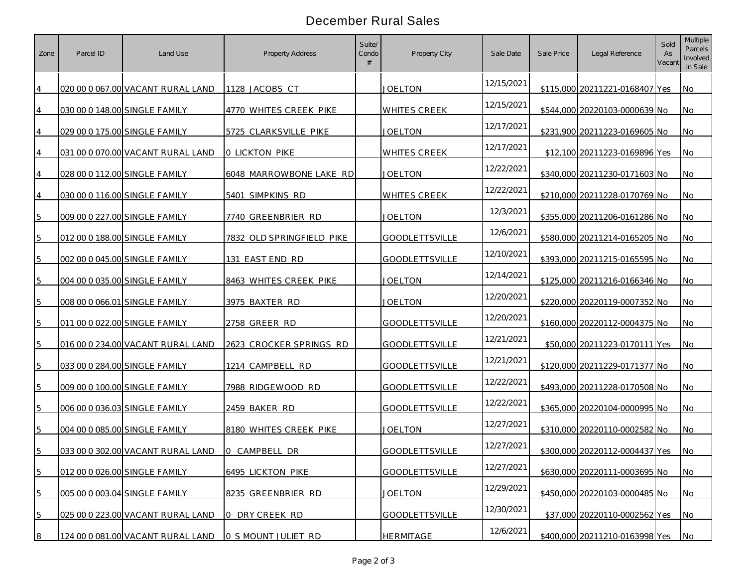## December Rural Sales

| Zone | Parcel ID | Land Use                             | Property Address          | Suite/<br>Condo | Property City         | Sale Date  | Sale Price | Legal Reference                | Sold<br>As<br>Vacan | <b>Multiple</b><br>Parcels<br>Involved<br>in Sale |
|------|-----------|--------------------------------------|---------------------------|-----------------|-----------------------|------------|------------|--------------------------------|---------------------|---------------------------------------------------|
|      |           | 020 00 0 067.00 VACANT RURAL LAND    | 1128 JACOBS CT            |                 | <b>JOELTON</b>        | 12/15/2021 |            | \$115,000 20211221-0168407 Yes |                     | No                                                |
|      |           | 030 00 0 148.00 SINGLE FAMILY        | 4770 WHITES CREEK PIKE    |                 | <b>WHITES CREEK</b>   | 12/15/2021 |            | \$544,000 20220103-0000639 No  |                     | <b>No</b>                                         |
|      |           | 029 00 0 175.00 SINGLE FAMILY        | 5725 CLARKSVILLE PIKE     |                 | <b>JOELTON</b>        | 12/17/2021 |            | \$231,900 20211223-0169605 No  |                     | No                                                |
|      |           | 031 00 0 070.00 VACANT RURAL LAND    | <b>0 LICKTON PIKE</b>     |                 | <b>WHITES CREEK</b>   | 12/17/2021 |            | \$12,100 20211223-0169896 Yes  |                     | <b>No</b>                                         |
|      |           | 028 00 0 112.00 SINGLE FAMILY        | 6048 MARROWBONE LAKE RD   |                 | <b>JOELTON</b>        | 12/22/2021 |            | \$340,000 20211230-0171603 No  |                     | <b>No</b>                                         |
|      |           | 030 00 0 116.00 SINGLE FAMILY        | 5401 SIMPKINS RD          |                 | <b>WHITES CREEK</b>   | 12/22/2021 |            | \$210,000 20211228-0170769 No  |                     | <b>No</b>                                         |
|      |           | 009 00 0 227.00 SINGLE FAMILY        | 7740 GREENBRIER RD        |                 | <b>JOELTON</b>        | 12/3/2021  |            | \$355,000 20211206-0161286 No  |                     | <b>No</b>                                         |
|      |           | 012 00 0 188.00 SINGLE FAMILY        | 7832 OLD SPRINGFIELD PIKE |                 | <b>GOODLETTSVILLE</b> | 12/6/2021  |            | \$580,000 20211214-0165205 No  |                     | <b>No</b>                                         |
|      |           | 002 00 0 045.00 SINGLE FAMILY        | 131 EAST END RD           |                 | <b>GOODLETTSVILLE</b> | 12/10/2021 |            | \$393,000 20211215-0165595 No  |                     | <b>No</b>                                         |
| 5    |           | 004 00 0 035.00 SINGLE FAMILY        | 8463 WHITES CREEK PIKE    |                 | <b>JOELTON</b>        | 12/14/2021 |            | \$125,000 20211216-0166346 No  |                     | <b>No</b>                                         |
|      |           | 008 00 0 066.01 SINGLE FAMILY        | 3975 BAXTER RD            |                 | <b>JOELTON</b>        | 12/20/2021 |            | \$220,000 20220119-0007352 No  |                     | No                                                |
|      |           | 011 00 0 022.00 SINGLE FAMILY        | 2758 GREER RD             |                 | <b>GOODLETTSVILLE</b> | 12/20/2021 |            | \$160,000 20220112-0004375 No  |                     | <b>No</b>                                         |
|      |           | 016 00 0 234.00 VACANT RURAL LAND    | 2623 CROCKER SPRINGS RD   |                 | <b>GOODLETTSVILLE</b> | 12/21/2021 |            | \$50,000 20211223-0170111 Yes  |                     | <b>No</b>                                         |
| 5    |           | 033 00 0 284.00 SINGLE FAMILY        | 1214 CAMPBELL RD          |                 | <b>GOODLETTSVILLE</b> | 12/21/2021 |            | \$120,000 20211229-0171377 No  |                     | No                                                |
|      |           | 009 00 0 100.00 SINGLE FAMILY        | 7988 RIDGEWOOD RD         |                 | <b>GOODLETTSVILLE</b> | 12/22/2021 |            | \$493,000 20211228-0170508 No  |                     | <b>No</b>                                         |
| 5    |           | <u>006 00 0 036.03 SINGLE FAMILY</u> | 2459 BAKER RD             |                 | <b>GOODLETTSVILLE</b> | 12/22/2021 |            | \$365,000 20220104-0000995 No  |                     | No                                                |
|      |           | 004 00 0 085.00 SINGLE FAMILY        | 8180 WHITES CREEK PIKE    |                 | <b>JOELTON</b>        | 12/27/2021 |            | \$310,000 20220110-0002582 No  |                     | <b>No</b>                                         |
| 5    |           | 033 00 0 302.00 VACANT RURAL LAND    | 0 CAMPBELL DR             |                 | <b>GOODLETTSVILLE</b> | 12/27/2021 |            | \$300,000 20220112-0004437 Yes |                     | No                                                |
| 5    |           | 012 00 0 026.00 SINGLE FAMILY        | 6495 LICKTON PIKE         |                 | GOODLETTSVILLE        | 12/27/2021 |            | \$630,000 20220111-0003695 No  |                     | <b>No</b>                                         |
| 5    |           | 005 00 0 003.04 SINGLE FAMILY        | 8235 GREENBRIER RD        |                 | <b>JOELTON</b>        | 12/29/2021 |            | \$450,000 20220103-0000485 No  |                     | No                                                |
| 5    |           | 025 00 0 223.00 VACANT RURAL LAND    | 0 DRY CREEK RD            |                 | <b>GOODLETTSVILLE</b> | 12/30/2021 |            | \$37,000 20220110-0002562 Yes  |                     | <b>No</b>                                         |
| 8    |           | 124 00 0 081.00 VACANT RURAL LAND    | 0 S MOUNT JULIET RD       |                 | <b>HERMITAGE</b>      | 12/6/2021  |            | \$400,000 20211210-0163998 Yes |                     | <b>No</b>                                         |